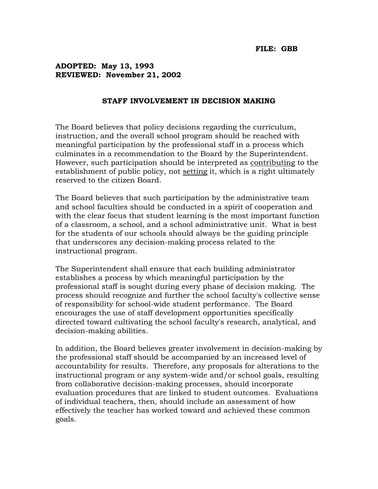## **ADOPTED: May 13, 1993 REVIEWED: November 21, 2002**

## **STAFF INVOLVEMENT IN DECISION MAKING**

The Board believes that policy decisions regarding the curriculum, instruction, and the overall school program should be reached with meaningful participation by the professional staff in a process which culminates in a recommendation to the Board by the Superintendent. However, such participation should be interpreted as contributing to the establishment of public policy, not setting it, which is a right ultimately reserved to the citizen Board.

The Board believes that such participation by the administrative team and school faculties should be conducted in a spirit of cooperation and with the clear focus that student learning is the most important function of a classroom, a school, and a school administrative unit. What is best for the students of our schools should always be the guiding principle that underscores any decision-making process related to the instructional program.

The Superintendent shall ensure that each building administrator establishes a process by which meaningful participation by the professional staff is sought during every phase of decision making. The process should recognize and further the school faculty's collective sense of responsibility for school-wide student performance. The Board encourages the use of staff development opportunities specifically directed toward cultivating the school faculty's research, analytical, and decision-making abilities.

In addition, the Board believes greater involvement in decision-making by the professional staff should be accompanied by an increased level of accountability for results. Therefore, any proposals for alterations to the instructional program or any system-wide and/or school goals, resulting from collaborative decision-making processes, should incorporate evaluation procedures that are linked to student outcomes. Evaluations of individual teachers, then, should include an assessment of how effectively the teacher has worked toward and achieved these common goals.